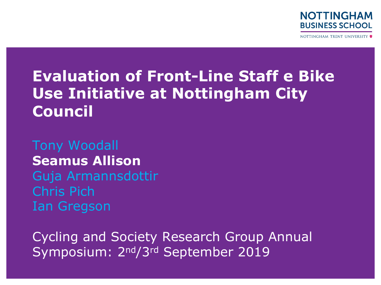

NOTTINGHAM TRENT UNIVERSITY

# **Evaluation of Front-Line Staff e Bike Use Initiative at Nottingham City Council**

#### Tony Woodall **Seamus Allison**  Guja Armannsdottir

Chris Pich Ian Gregson

Cycling and Society Research Group Annual Symposium: 2nd/3rd September 2019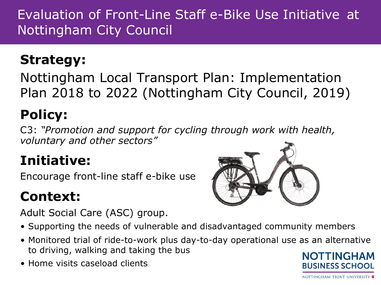## **Strategy:**

Nottingham Local Transport Plan: Implementation Plan 2018 to 2022 (Nottingham City Council, 2019)

# **Policy:**

C3: *"Promotion and support for cycling through work with health, voluntary and other sectors"*

# **Initiative:**

Encourage front-line staff e-bike use

## **Context:**

Adult Social Care (ASC) group.



- Supporting the needs of vulnerable and disadvantaged community members
- Monitored trial of ride-to-work plus day-to-day operational use as an alternative to driving, walking and taking the bus
- Home visits caseload clients



NOTTINGHAM TRENT UNIVERSITY ♥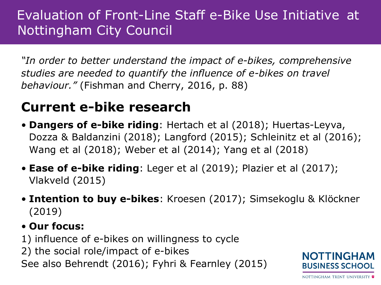*"In order to better understand the impact of e-bikes, comprehensive studies are needed to quantify the influence of e-bikes on travel behaviour."* (Fishman and Cherry, 2016, p. 88)

#### **Current e-bike research**

- **Dangers of e-bike riding**: Hertach et al (2018); Huertas-Leyva, Dozza & Baldanzini (2018); Langford (2015); Schleinitz et al (2016); Wang et al (2018); Weber et al (2014); Yang et al (2018)
- **Ease of e-bike riding**: Leger et al (2019); Plazier et al (2017); Vlakveld (2015)
- **Intention to buy e-bikes**: Kroesen (2017); Simsekoglu & Klöckner (2019)

#### • **Our focus:**

- 1) influence of e-bikes on willingness to cycle
- 2) the social role/impact of e-bikes

See also Behrendt (2016); Fyhri & Fearnley (2015)

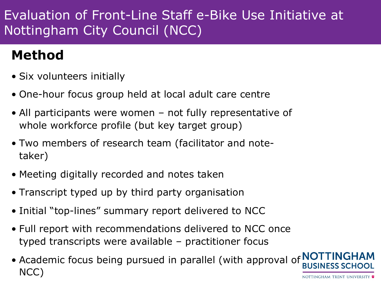## **Method**

- Six volunteers initially
- One-hour focus group held at local adult care centre
- All participants were women not fully representative of whole workforce profile (but key target group)
- Two members of research team (facilitator and notetaker)
- Meeting digitally recorded and notes taken
- Transcript typed up by third party organisation
- Initial "top-lines" summary report delivered to NCC
- Full report with recommendations delivered to NCC once typed transcripts were available – practitioner focus
- Academic focus being pursued in parallel (with approval of NO) NCC)NOTTINGHAM TRENT UNIVERSITY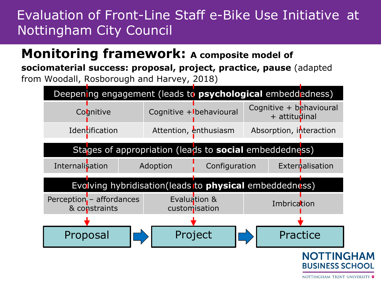#### **Monitoring framework: A composite model of**

**sociomaterial success: proposal, project, practice, pause** (adapted from Woodall, Rosborough and Harvey, 2018)

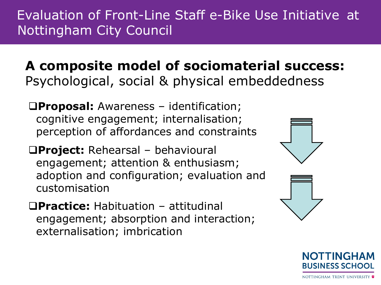**A composite model of sociomaterial success:**  Psychological, social & physical embeddedness

q**Proposal:** Awareness – identification; cognitive engagement; internalisation; perception of affordances and constraints

q**Project:** Rehearsal – behavioural engagement; attention & enthusiasm; adoption and configuration; evaluation and customisation

q**Practice:** Habituation – attitudinal engagement; absorption and interaction; externalisation; imbrication



TINGH **BUSINESS SCHOOL**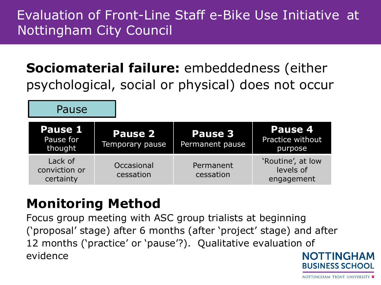**Sociomaterial failure:** embeddedness (either psychological, social or physical) does not occur

| Pause 1<br>Pause for<br>thought       | <b>Pause 2</b><br>Temporary pause | Pause 3<br>Permanent pause | Pause 4<br>Practice without<br>purpose       |
|---------------------------------------|-----------------------------------|----------------------------|----------------------------------------------|
| Lack of<br>conviction or<br>certainty | Occasional<br>cessation           | Permanent<br>cessation     | 'Routine', at low<br>levels of<br>engagement |

## **Monitoring Method**

Pause

Focus group meeting with ASC group trialists at beginning ('proposal' stage) after 6 months (after 'project' stage) and after 12 months ('practice' or 'pause'?). Qualitative evaluation of evidence **NOTTINGHAM** 

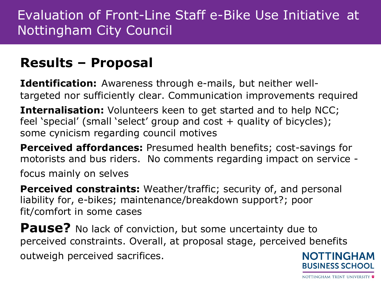### **Results – Proposal**

**Identification:** Awareness through e-mails, but neither welltargeted nor sufficiently clear. Communication improvements required

**Internalisation:** Volunteers keen to get started and to help NCC; feel 'special' (small 'select' group and cost + quality of bicycles); some cynicism regarding council motives

**Perceived affordances:** Presumed health benefits; cost-savings for motorists and bus riders. No comments regarding impact on service -

focus mainly on selves

**Perceived constraints:** Weather/traffic; security of, and personal liability for, e-bikes; maintenance/breakdown support?; poor fit/comfort in some cases

**Pause?** No lack of conviction, but some uncertainty due to perceived constraints. Overall, at proposal stage, perceived benefits outweigh perceived sacrifices. **NOTTINGHAM BUSINESS SCHOOL**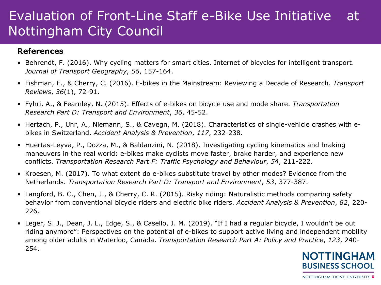#### **References**

- Behrendt, F. (2016). Why cycling matters for smart cities. Internet of bicycles for intelligent transport. *Journal of Transport Geography*, *56*, 157-164.
- Fishman, E., & Cherry, C. (2016). E-bikes in the Mainstream: Reviewing a Decade of Research. *Transport Reviews*, *36*(1), 72-91.
- Fyhri, A., & Fearnley, N. (2015). Effects of e-bikes on bicycle use and mode share. *Transportation Research Part D: Transport and Environment*, *36*, 45-52.
- Hertach, P., Uhr, A., Niemann, S., & Cavegn, M. (2018). Characteristics of single-vehicle crashes with ebikes in Switzerland. *Accident Analysis & Prevention*, *117*, 232-238.
- Huertas-Leyva, P., Dozza, M., & Baldanzini, N. (2018). Investigating cycling kinematics and braking maneuvers in the real world: e-bikes make cyclists move faster, brake harder, and experience new conflicts. *Transportation Research Part F: Traffic Psychology and Behaviour*, *54*, 211-222.
- Kroesen, M. (2017). To what extent do e-bikes substitute travel by other modes? Evidence from the Netherlands. *Transportation Research Part D: Transport and Environment*, *53*, 377-387.
- Langford, B. C., Chen, J., & Cherry, C. R. (2015). Risky riding: Naturalistic methods comparing safety behavior from conventional bicycle riders and electric bike riders. *Accident Analysis & Prevention*, *82*, 220- 226.
- Leger, S. J., Dean, J. L., Edge, S., & Casello, J. M. (2019). "If I had a regular bicycle, I wouldn't be out riding anymore": Perspectives on the potential of e-bikes to support active living and independent mobility among older adults in Waterloo, Canada. *Transportation Research Part A: Policy and Practice*, *123*, 240- 254.**NOTTINGHAM**